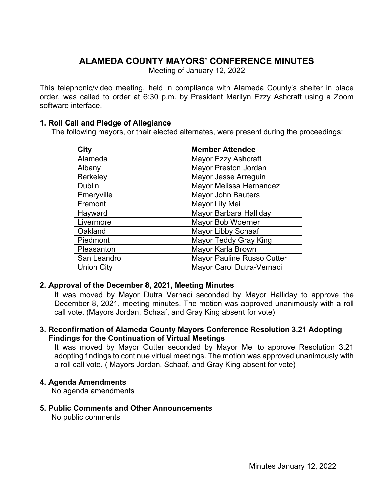# **ALAMEDA COUNTY MAYORS' CONFERENCE MINUTES**

Meeting of January 12, 2022

This telephonic/video meeting, held in compliance with Alameda County's shelter in place order, was called to order at 6:30 p.m. by President Marilyn Ezzy Ashcraft using a Zoom software interface.

# **1. Roll Call and Pledge of Allegiance**

The following mayors, or their elected alternates, were present during the proceedings:

| City              | <b>Member Attendee</b>            |
|-------------------|-----------------------------------|
| Alameda           | <b>Mayor Ezzy Ashcraft</b>        |
| Albany            | <b>Mayor Preston Jordan</b>       |
| <b>Berkeley</b>   | Mayor Jesse Arreguin              |
| <b>Dublin</b>     | Mayor Melissa Hernandez           |
| Emeryville        | <b>Mayor John Bauters</b>         |
| Fremont           | Mayor Lily Mei                    |
| Hayward           | Mayor Barbara Halliday            |
| Livermore         | <b>Mayor Bob Woerner</b>          |
| Oakland           | <b>Mayor Libby Schaaf</b>         |
| Piedmont          | <b>Mayor Teddy Gray King</b>      |
| Pleasanton        | Mayor Karla Brown                 |
| San Leandro       | <b>Mayor Pauline Russo Cutter</b> |
| <b>Union City</b> | Mayor Carol Dutra-Vernaci         |

## **2. Approval of the December 8, 2021, Meeting Minutes**

It was moved by Mayor Dutra Vernaci seconded by Mayor Halliday to approve the December 8, 2021, meeting minutes. The motion was approved unanimously with a roll call vote. (Mayors Jordan, Schaaf, and Gray King absent for vote)

## **3. Reconfirmation of Alameda County Mayors Conference Resolution 3.21 Adopting Findings for the Continuation of Virtual Meetings**

It was moved by Mayor Cutter seconded by Mayor Mei to approve Resolution 3.21 adopting findings to continue virtual meetings. The motion was approved unanimously with a roll call vote. ( Mayors Jordan, Schaaf, and Gray King absent for vote)

## **4. Agenda Amendments**

No agenda amendments

## **5. Public Comments and Other Announcements**

No public comments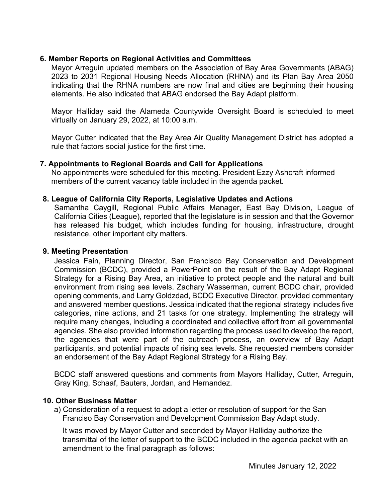# **6. Member Reports on Regional Activities and Committees**

Mayor Arreguin updated members on the Association of Bay Area Governments (ABAG) 2023 to 2031 Regional Housing Needs Allocation (RHNA) and its Plan Bay Area 2050 indicating that the RHNA numbers are now final and cities are beginning their housing elements. He also indicated that ABAG endorsed the Bay Adapt platform.

Mayor Halliday said the Alameda Countywide Oversight Board is scheduled to meet virtually on January 29, 2022, at 10:00 a.m.

Mayor Cutter indicated that the Bay Area Air Quality Management District has adopted a rule that factors social justice for the first time.

## **7. Appointments to Regional Boards and Call for Applications**

No appointments were scheduled for this meeting. President Ezzy Ashcraft informed members of the current vacancy table included in the agenda packet.

#### **8. League of California City Reports, Legislative Updates and Actions**

Samantha Caygill, Regional Public Affairs Manager, East Bay Division, League of California Cities (League), reported that the legislature is in session and that the Governor has released his budget, which includes funding for housing, infrastructure, drought resistance, other important city matters.

#### **9. Meeting Presentation**

Jessica Fain, Planning Director, San Francisco Bay Conservation and Development Commission (BCDC), provided a PowerPoint on the result of the Bay Adapt Regional Strategy for a Rising Bay Area, an initiative to protect people and the natural and built environment from rising sea levels. Zachary Wasserman, current BCDC chair, provided opening comments, and Larry Goldzdad, BCDC Executive Director, provided commentary and answered member questions. Jessica indicated that the regional strategy includes five categories, nine actions, and 21 tasks for one strategy. Implementing the strategy will require many changes, including a coordinated and collective effort from all governmental agencies. She also provided information regarding the process used to develop the report, the agencies that were part of the outreach process, an overview of Bay Adapt participants, and potential impacts of rising sea levels. She requested members consider an endorsement of the Bay Adapt Regional Strategy for a Rising Bay.

BCDC staff answered questions and comments from Mayors Halliday, Cutter, Arreguin, Gray King, Schaaf, Bauters, Jordan, and Hernandez.

#### **10. Other Business Matter**

a) Consideration of a request to adopt a letter or resolution of support for the San Franciso Bay Conservation and Development Commission Bay Adapt study.

It was moved by Mayor Cutter and seconded by Mayor Halliday authorize the transmittal of the letter of support to the BCDC included in the agenda packet with an amendment to the final paragraph as follows: